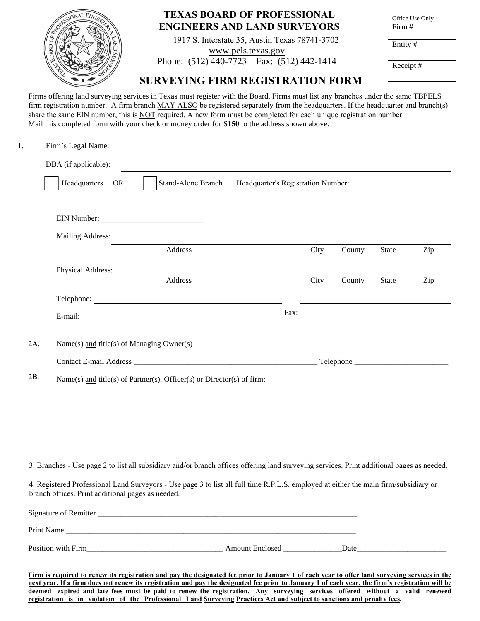|  | <b>TEXAS BOARD OF PROFESSIONAL</b><br><b>ENGINEERS AND LAND SURVEYORS</b>                                         | Office Use Only<br>Firm $#$ |
|--|-------------------------------------------------------------------------------------------------------------------|-----------------------------|
|  | 1917 S. Interstate 35, Austin Texas 78741-3702<br>www.pels.texas.gov<br>Phone: (512) 440-7723 Fax: (512) 442-1414 | Entity#                     |
|  | <b>SURVEYING FIRM REGISTRATION FORM</b>                                                                           | Receipt#                    |

Firms offering land surveying services in Texas must register with the Board. Firms must list any branches under the same TBPELS firm registration number. A firm branch MAY ALSO be registered separately from the headquarters. If the headquarter and branch(s) share the same EIN number, this is NOT required. A new form must be completed for each unique registration number. Mail this completed form with your check or money order for **\$150** to the address shown above.

| 1.  | Firm's Legal Name:   |                                                                        |                                    |      |                      |              |                  |
|-----|----------------------|------------------------------------------------------------------------|------------------------------------|------|----------------------|--------------|------------------|
|     | DBA (if applicable): |                                                                        |                                    |      |                      |              |                  |
|     | Headquarters OR      | Stand-Alone Branch                                                     | Headquarter's Registration Number: |      |                      |              |                  |
|     |                      | EIN Number:                                                            |                                    |      |                      |              |                  |
|     | Mailing Address:     |                                                                        |                                    |      |                      |              |                  |
|     |                      | Address                                                                |                                    | City | County               | State        | Zip              |
|     | Physical Address:    |                                                                        |                                    |      |                      |              |                  |
|     |                      | Address                                                                |                                    | City | $\overline{C}$ ounty | <b>State</b> | $\overline{Zip}$ |
|     |                      | Telephone:                                                             |                                    |      |                      |              |                  |
|     |                      | E-mail: $\qquad \qquad \qquad$                                         | Fax:                               |      |                      |              |                  |
|     |                      |                                                                        |                                    |      |                      |              |                  |
| 2A. |                      |                                                                        |                                    |      |                      |              |                  |
|     |                      |                                                                        |                                    |      |                      |              |                  |
| 2B. |                      | Name(s) and title(s) of Partner(s), Officer(s) or Director(s) of firm: |                                    |      |                      |              |                  |

3. Branches - Use page 2 to list all subsidiary and/or branch offices offering land surveying services. Print additional pages as needed.

4. Registered Professional Land Surveyors - Use page 3 to list all full time R.P.L.S. employed at either the main firm/subsidiary or branch offices. Print additional pages as needed.

| Signature of Remitter |                        |      |
|-----------------------|------------------------|------|
| Print Name            |                        |      |
| Position with Firm    | <b>Amount Enclosed</b> | Date |

**Firm is required to renew its registration and pay the designated fee prior to January 1 of each year to offer land surveying services in the next year. If a firm does not renew its registration and pay the designated fee prior to January 1 of each year, the firm's registration will be deemed expired and late fees must be paid to renew the registration. Any surveying services offered without a valid renewed registration is in violation of the Professional Land Surveying Practices Act and subject to sanctions and penalty fees.**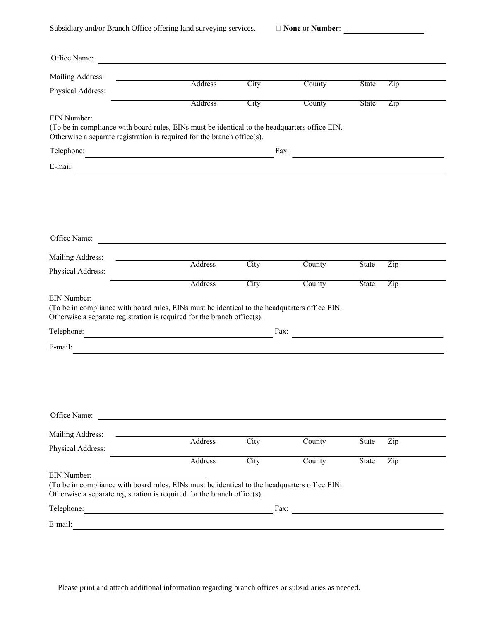Subsidiary and/or Branch Office offering land surveying services.

**None** or **Number**:

| Office Name:                                                                                                                                                                            |         |      |                             |              |                           |
|-----------------------------------------------------------------------------------------------------------------------------------------------------------------------------------------|---------|------|-----------------------------|--------------|---------------------------|
| Mailing Address:                                                                                                                                                                        |         |      |                             |              |                           |
| Physical Address:                                                                                                                                                                       | Address | City | County                      | <b>State</b> | $\overline{Zip}$          |
|                                                                                                                                                                                         | Address | City | County                      | State        | $\overline{Lip}$          |
| EIN Number:<br>(To be in compliance with board rules, EINs must be identical to the headquarters office EIN.<br>Otherwise a separate registration is required for the branch office(s). |         |      |                             |              |                           |
| Telephone:<br><u> 1989 - Andrea Aonaichte ann an t-</u>                                                                                                                                 |         |      | Fax:                        |              |                           |
| E-mail:                                                                                                                                                                                 |         |      |                             |              |                           |
|                                                                                                                                                                                         |         |      |                             |              |                           |
| Office Name:<br><u> 1980 - Jan Barnett, fransk politik (d. 1980)</u>                                                                                                                    |         |      |                             |              |                           |
| Mailing Address:                                                                                                                                                                        | Address | City | County                      | <b>State</b> | $\overline{\mathrm{Zip}}$ |
| Physical Address:                                                                                                                                                                       |         |      |                             |              |                           |
|                                                                                                                                                                                         | Address | City | County                      | <b>State</b> | Zip                       |
| EIN Number:<br>(To be in compliance with board rules, EINs must be identical to the headquarters office EIN.<br>Otherwise a separate registration is required for the branch office(s). |         |      |                             |              |                           |
| Telephone:                                                                                                                                                                              |         |      | Fax:                        |              |                           |
| E-mail:                                                                                                                                                                                 |         |      |                             |              |                           |
| Office Name:<br><u> 1980 - Andrea Andrew Maria (h. 1980).</u>                                                                                                                           |         |      |                             |              |                           |
| Mailing Address:                                                                                                                                                                        | Address | City | County                      | State        | Zip                       |
| Physical Address:                                                                                                                                                                       |         |      |                             |              |                           |
|                                                                                                                                                                                         | Address | City | County                      | State        | $\overline{Zip}$          |
| EIN Number:<br>(To be in compliance with board rules, EINs must be identical to the headquarters office EIN.<br>Otherwise a separate registration is required for the branch office(s). |         |      |                             |              |                           |
|                                                                                                                                                                                         |         |      | Fax: $\qquad \qquad \qquad$ |              |                           |
| $E-mail:$                                                                                                                                                                               |         |      |                             |              |                           |

Please print and attach additional information regarding branch offices or subsidiaries as needed.